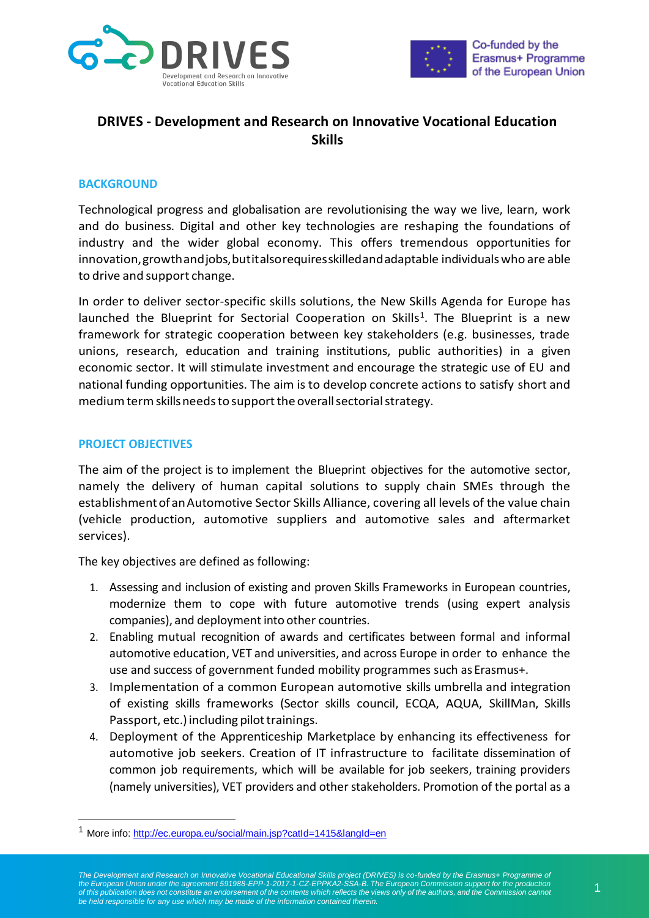



# **DRIVES - Development and Research on Innovative Vocational Education Skills**

# **BACKGROUND**

Technological progress and globalisation are revolutionising the way we live, learn, work and do business. Digital and other key technologies are reshaping the foundations of industry and the wider global economy. This offers tremendous opportunities for innovation,growthandjobs,butitalsorequiresskilledandadaptable individualswho are able to drive and support change.

In order to deliver sector-specific skills solutions, the New Skills Agenda for Europe has launched the Blueprint for Sectorial Cooperation on Skills<sup>1</sup>. The Blueprint is a new framework for strategic cooperation between key stakeholders (e.g. businesses, trade unions, research, education and training institutions, public authorities) in a given economic sector. It will stimulate investment and encourage the strategic use of EU and national funding opportunities. The aim is to develop concrete actions to satisfy short and medium term skills needs to support the overall sectorial strategy.

## **PROJECT OBJECTIVES**

-

The aim of the project is to implement the Blueprint objectives for the automotive sector, namely the delivery of human capital solutions to supply chain SMEs through the establishmentof anAutomotive Sector Skills Alliance, covering all levels of the value chain (vehicle production, automotive suppliers and automotive sales and aftermarket services).

The key objectives are defined as following:

- 1. Assessing and inclusion of existing and proven Skills Frameworks in European countries, modernize them to cope with future automotive trends (using expert analysis companies), and deployment into other countries.
- 2. Enabling mutual recognition of awards and certificates between formal and informal automotive education, VET and universities, and across Europe in order to enhance the use and success of government funded mobility programmes such as Erasmus+.
- 3. Implementation of a common European automotive skills umbrella and integration of existing skills frameworks (Sector skills council, ECQA, AQUA, SkillMan, Skills Passport, etc.) including pilot trainings.
- 4. Deployment of the Apprenticeship Marketplace by enhancing its effectiveness for automotive job seekers. Creation of IT infrastructure to facilitate dissemination of common job requirements, which will be available for job seekers, training providers (namely universities), VET providers and other stakeholders. Promotion of the portal as a

<sup>1</sup> More info:<http://ec.europa.eu/social/main.jsp?catId=1415&langId=en>

The Development and Research on Innovative Vocational Educational Skills project (DRIVES) is co-funded by the Erasmus+ Programme of<br>the European Union under the agreement 591988-EPP-1-2017-1-CZ-EPPKA2-SSA-B. The European C *of this publication does not constitute an endorsement of the contents which reflects the views only of the authors, and the Commission cannot be held responsible for any use which may be made of the information contained therein.*